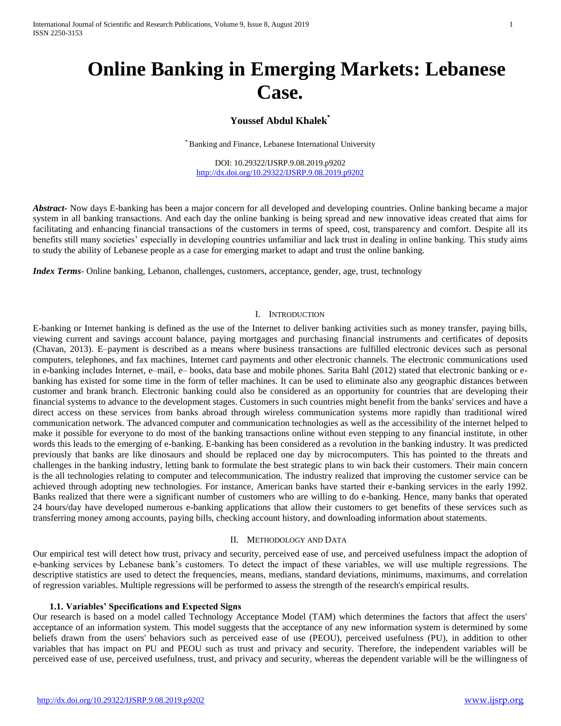# **Online Banking in Emerging Markets: Lebanese Case.**

# **Youssef Abdul Khalek\***

Banking and Finance, Lebanese International University

DOI: 10.29322/IJSRP.9.08.2019.p9202 <http://dx.doi.org/10.29322/IJSRP.9.08.2019.p9202>

*Abstract* Now days E-banking has been a major concern for all developed and developing countries. Online banking became a major system in all banking transactions. And each day the online banking is being spread and new innovative ideas created that aims for facilitating and enhancing financial transactions of the customers in terms of speed, cost, transparency and comfort. Despite all its benefits still many societies' especially in developing countries unfamiliar and lack trust in dealing in online banking. This study aims to study the ability of Lebanese people as a case for emerging market to adapt and trust the online banking.

*Index Terms*- Online banking, Lebanon, challenges, customers, acceptance, gender, age, trust, technology

#### I. INTRODUCTION

E-banking or Internet banking is defined as the use of the Internet to deliver banking activities such as money transfer, paying bills, viewing current and savings account balance, paying mortgages and purchasing financial instruments and certificates of deposits (Chavan, 2013). E–payment is described as a means where business transactions are fulfilled electronic devices such as personal computers, telephones, and fax machines, Internet card payments and other electronic channels. The electronic communications used in e-banking includes Internet, e–mail, e– books, data base and mobile phones. Sarita Bahl (2012) stated that electronic banking or ebanking has existed for some time in the form of teller machines. It can be used to eliminate also any geographic distances between customer and brank branch. Electronic banking could also be considered as an opportunity for countries that are developing their financial systems to advance to the development stages. Customers in such countries might benefit from the banks' services and have a direct access on these services from banks abroad through wireless communication systems more rapidly than traditional wired communication network. The advanced computer and communication technologies as well as the accessibility of the internet helped to make it possible for everyone to do most of the banking transactions online without even stepping to any financial institute, in other words this leads to the emerging of e-banking. E-banking has been considered as a revolution in the banking industry. It was predicted previously that banks are like dinosaurs and should be replaced one day by microcomputers. This has pointed to the threats and challenges in the banking industry, letting bank to formulate the best strategic plans to win back their customers. Their main concern is the all technologies relating to computer and telecommunication. The industry realized that improving the customer service can be achieved through adopting new technologies. For instance, American banks have started their e-banking services in the early 1992. Banks realized that there were a significant number of customers who are willing to do e-banking. Hence, many banks that operated 24 hours/day have developed numerous e-banking applications that allow their customers to get benefits of these services such as transferring money among accounts, paying bills, checking account history, and downloading information about statements.

#### II. METHODOLOGY AND DATA

Our empirical test will detect how trust, privacy and security, perceived ease of use, and perceived usefulness impact the adoption of e-banking services by Lebanese bank's customers. To detect the impact of these variables, we will use multiple regressions. The descriptive statistics are used to detect the frequencies, means, medians, standard deviations, minimums, maximums, and correlation of regression variables. Multiple regressions will be performed to assess the strength of the research's empirical results.

#### **1.1. Variables' Specifications and Expected Signs**

Our research is based on a model called Technology Acceptance Model (TAM) which determines the factors that affect the users' acceptance of an information system. This model suggests that the acceptance of any new information system is determined by some beliefs drawn from the users' behaviors such as perceived ease of use (PEOU), perceived usefulness (PU), in addition to other variables that has impact on PU and PEOU such as trust and privacy and security. Therefore, the independent variables will be perceived ease of use, perceived usefulness, trust, and privacy and security, whereas the dependent variable will be the willingness of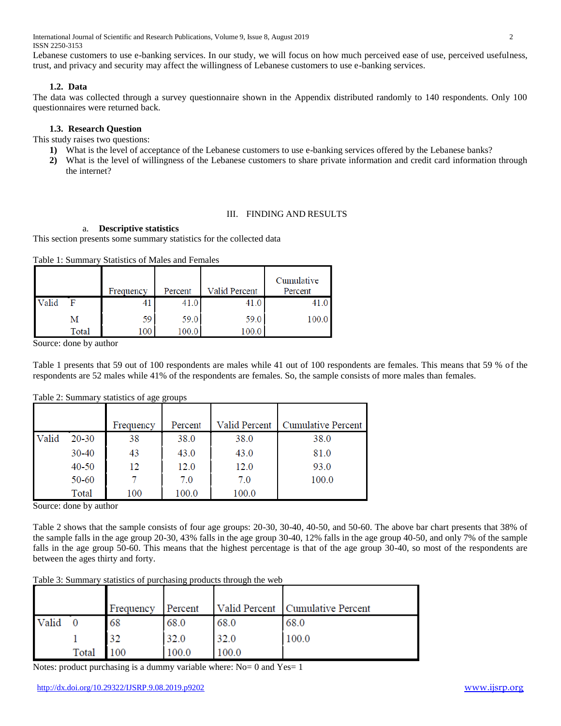International Journal of Scientific and Research Publications, Volume 9, Issue 8, August 2019 2 ISSN 2250-3153

Lebanese customers to use e-banking services. In our study, we will focus on how much perceived ease of use, perceived usefulness, trust, and privacy and security may affect the willingness of Lebanese customers to use e-banking services.

## **1.2. Data**

The data was collected through a survey questionnaire shown in the Appendix distributed randomly to 140 respondents. Only 100 questionnaires were returned back.

## **1.3. Research Question**

This study raises two questions:

- **1)** What is the level of acceptance of the Lebanese customers to use e-banking services offered by the Lebanese banks?
- **2)** What is the level of willingness of the Lebanese customers to share private information and credit card information through the internet?

## III. FINDING AND RESULTS

## a. **Descriptive statistics**

This section presents some summary statistics for the collected data

Table 1: Summary Statistics of Males and Females

|       |       | Frequency | Percent | Valid Percent | Cumulative<br>Percent |
|-------|-------|-----------|---------|---------------|-----------------------|
| Valid |       | +1        | 41.0    | 41.0          |                       |
|       | м     | 59        | 59.0    | 59.0          | 100.0                 |
|       | Total | 100       | 100.0   | 100.0         |                       |

Source: done by author

Table 1 presents that 59 out of 100 respondents are males while 41 out of 100 respondents are females. This means that 59 % of the respondents are 52 males while 41% of the respondents are females. So, the sample consists of more males than females.

|       |           | Frequency | Percent | Valid Percent | Cumulative Percen |
|-------|-----------|-----------|---------|---------------|-------------------|
| Valid | $20 - 30$ | 38        | 38.0    | 38.0          | 38.0              |
|       | 30-40     | 43        | 43.0    | 43.0          | 81.0              |
|       | $40 - 50$ | 12.       | 12.0    | 12.0          | 93.0              |
|       | 50-60     |           | 7.0     | 7.0           | 100.0             |
|       | Total     | 100       | 100.0   | 100.0         |                   |

Table 2: Summary statistics of age groups

Source: done by author

Table 2 shows that the sample consists of four age groups: 20-30, 30-40, 40-50, and 50-60. The above bar chart presents that 38% of the sample falls in the age group 20-30, 43% falls in the age group 30-40, 12% falls in the age group 40-50, and only 7% of the sample falls in the age group 50-60. This means that the highest percentage is that of the age group 30-40, so most of the respondents are between the ages thirty and forty.

|       |       | Frequency | Percent |       | Valid Percent   Cumulative Percent |
|-------|-------|-----------|---------|-------|------------------------------------|
| Valid |       | 68        | 68.0    | 68.0  | 68.0                               |
|       |       | 32        | 32.0    | 32.0  | 100.0                              |
|       | Total | 100       | 100.0   | 100.0 |                                    |

Notes: product purchasing is a dummy variable where:  $No = 0$  and  $Yes = 1$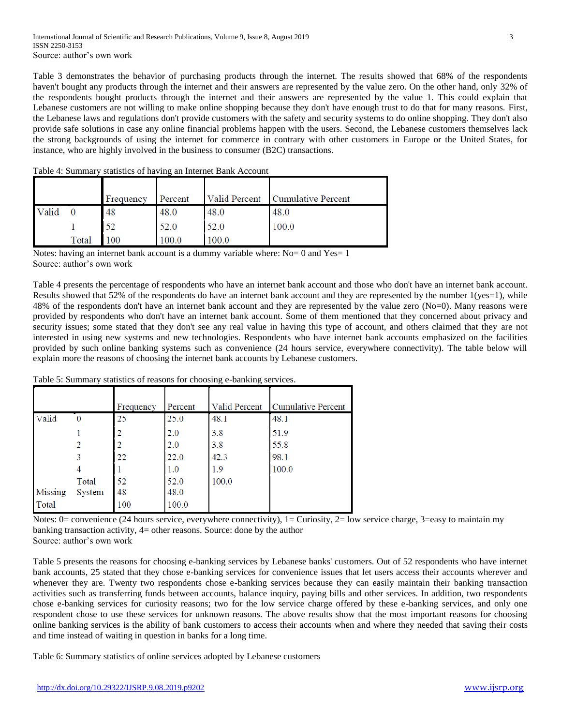Table 3 demonstrates the behavior of purchasing products through the internet. The results showed that 68% of the respondents haven't bought any products through the internet and their answers are represented by the value zero. On the other hand, only 32% of the respondents bought products through the internet and their answers are represented by the value 1. This could explain that Lebanese customers are not willing to make online shopping because they don't have enough trust to do that for many reasons. First, the Lebanese laws and regulations don't provide customers with the safety and security systems to do online shopping. They don't also provide safe solutions in case any online financial problems happen with the users. Second, the Lebanese customers themselves lack the strong backgrounds of using the internet for commerce in contrary with other customers in Europe or the United States, for instance, who are highly involved in the business to consumer (B2C) transactions.

|       |       | Frequency | Percent | <b>Valid Percent</b> | Cumulative Percent |
|-------|-------|-----------|---------|----------------------|--------------------|
| Valid |       | 48        | 48.0    | 48.0                 | 48.0               |
|       |       | 52        | 52.0    | 52.0                 | 100.0              |
|       | Total | 100       | 100.0   | 100.0                |                    |

Table 4: Summary statistics of having an Internet Bank Account

Notes: having an internet bank account is a dummy variable where: No= 0 and Yes= 1 Source: author's own work

Table 4 presents the percentage of respondents who have an internet bank account and those who don't have an internet bank account. Results showed that 52% of the respondents do have an internet bank account and they are represented by the number  $1(yes=1)$ , while 48% of the respondents don't have an internet bank account and they are represented by the value zero (No=0). Many reasons were provided by respondents who don't have an internet bank account. Some of them mentioned that they concerned about privacy and security issues; some stated that they don't see any real value in having this type of account, and others claimed that they are not interested in using new systems and new technologies. Respondents who have internet bank accounts emphasized on the facilities provided by such online banking systems such as convenience (24 hours service, everywhere connectivity). The table below will explain more the reasons of choosing the internet bank accounts by Lebanese customers.

|         |        | Frequency | Percent | Valid Percent | <b>Cumulative Percent</b> |
|---------|--------|-----------|---------|---------------|---------------------------|
| Valid   | 0      | 25        | 25.0    | 48.1          | 48.1                      |
|         |        |           | 2.0     | 3.8           | 51.9                      |
|         |        |           | 2.0     | 3.8           | 55.8                      |
|         |        | 22        | 22.0    | 42.3          | 98.1                      |
|         |        |           | 1.0     | 1.9           | 100.0                     |
|         | Total  | 52        | 52.0    | 100.0         |                           |
| Missing | System | 48        | 48.0    |               |                           |
| Total   |        | 100       | 100.0   |               |                           |

Table 5: Summary statistics of reasons for choosing e-banking services.

Notes: 0= convenience (24 hours service, everywhere connectivity), 1= Curiosity, 2= low service charge, 3=easy to maintain my banking transaction activity, 4= other reasons. Source: done by the author Source: author's own work

Table 5 presents the reasons for choosing e-banking services by Lebanese banks' customers. Out of 52 respondents who have internet bank accounts, 25 stated that they chose e-banking services for convenience issues that let users access their accounts wherever and whenever they are. Twenty two respondents chose e-banking services because they can easily maintain their banking transaction activities such as transferring funds between accounts, balance inquiry, paying bills and other services. In addition, two respondents chose e-banking services for curiosity reasons; two for the low service charge offered by these e-banking services, and only one respondent chose to use these services for unknown reasons. The above results show that the most important reasons for choosing online banking services is the ability of bank customers to access their accounts when and where they needed that saving their costs and time instead of waiting in question in banks for a long time.

Table 6: Summary statistics of online services adopted by Lebanese customers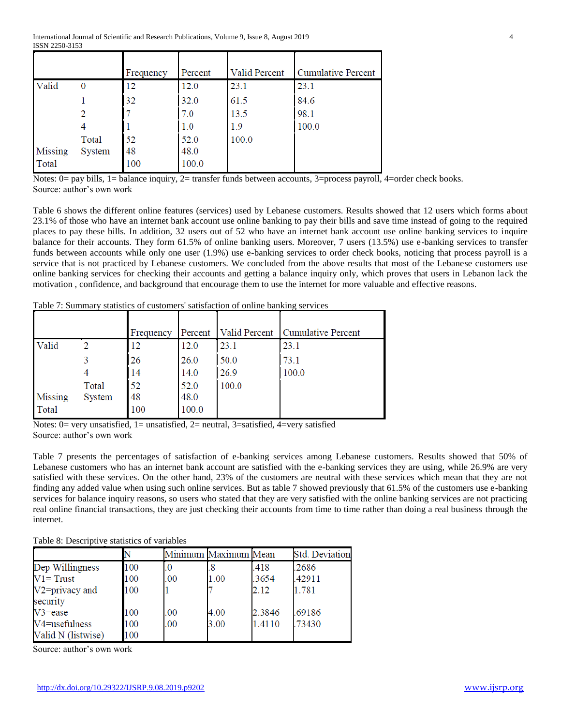|         |          | Frequency | Percent | Valid Percent | <b>Cumulative Percent</b> |
|---------|----------|-----------|---------|---------------|---------------------------|
| Valid   | $\bf{0}$ | 12        | 12.0    | 23.1          | 23.1                      |
|         |          | 32        | 32.0    | 61.5          | 84.6                      |
|         |          |           | 7.0     | 13.5          | 98.1                      |
|         |          |           | 1.0     | 1.9           | 100.0                     |
|         | Total    | 52        | 52.0    | 100.0         |                           |
| Missing | System   | 48        | 48.0    |               |                           |
| Total   |          | 100       | 100.0   |               |                           |

Notes: 0= pay bills, 1= balance inquiry, 2= transfer funds between accounts, 3=process payroll, 4=order check books. Source: author's own work

Table 6 shows the different online features (services) used by Lebanese customers. Results showed that 12 users which forms about 23.1% of those who have an internet bank account use online banking to pay their bills and save time instead of going to the required places to pay these bills. In addition, 32 users out of 52 who have an internet bank account use online banking services to inquire balance for their accounts. They form 61.5% of online banking users. Moreover, 7 users (13.5%) use e-banking services to transfer funds between accounts while only one user (1.9%) use e-banking services to order check books, noticing that process payroll is a service that is not practiced by Lebanese customers. We concluded from the above results that most of the Lebanese customers use online banking services for checking their accounts and getting a balance inquiry only, which proves that users in Lebanon lack the motivation , confidence, and background that encourage them to use the internet for more valuable and effective reasons.

Table 7: Summary statistics of customers' satisfaction of online banking services

|                  |                 | Frequency       | Percent               | <b>Valid Percent</b> | Cumulative Percent |
|------------------|-----------------|-----------------|-----------------------|----------------------|--------------------|
| Valid            |                 |                 | 12.0                  | 23.1                 | 23.1               |
|                  |                 | 26              | 26.0                  | 50.0                 | 73.1               |
|                  |                 | -14             | 14.0                  | 26.9                 | 100.0              |
| Missing<br>Total | Total<br>System | 52<br>48<br>100 | 52.0<br>48.0<br>100.0 | 100.0                |                    |

Notes:  $0=$  very unsatisfied,  $1=$  unsatisfied,  $2=$  neutral,  $3=$ satisfied,  $4=$ very satisfied Source: author's own work

Table 7 presents the percentages of satisfaction of e-banking services among Lebanese customers. Results showed that 50% of Lebanese customers who has an internet bank account are satisfied with the e-banking services they are using, while 26.9% are very satisfied with these services. On the other hand, 23% of the customers are neutral with these services which mean that they are not finding any added value when using such online services. But as table 7 showed previously that 61.5% of the customers use e-banking services for balance inquiry reasons, so users who stated that they are very satisfied with the online banking services are not practicing real online financial transactions, they are just checking their accounts from time to time rather than doing a real business through the internet.

| Table 8: Descriptive statistics of variables |
|----------------------------------------------|
|----------------------------------------------|

|                    |     |     | Minimum Maximum Mean |        | <b>Std. Deviation</b> |
|--------------------|-----|-----|----------------------|--------|-----------------------|
| Dep Willingness    | 100 | .0  |                      | .418   | .2686                 |
| $V1 = Trust$       | 100 | .00 | 1.00                 | .3654  | .42911                |
| V2=privacy and     | 100 |     |                      | 2.12   | 1.781                 |
| security           |     |     |                      |        |                       |
| $V3 = e$ ase       | 100 | .00 | 4.00                 | 2.3846 | .69186                |
| V4=usefulness      | 100 | .00 | 3.00                 | 1.4110 | .73430                |
| Valid N (listwise) | 100 |     |                      |        |                       |

Source: author's own work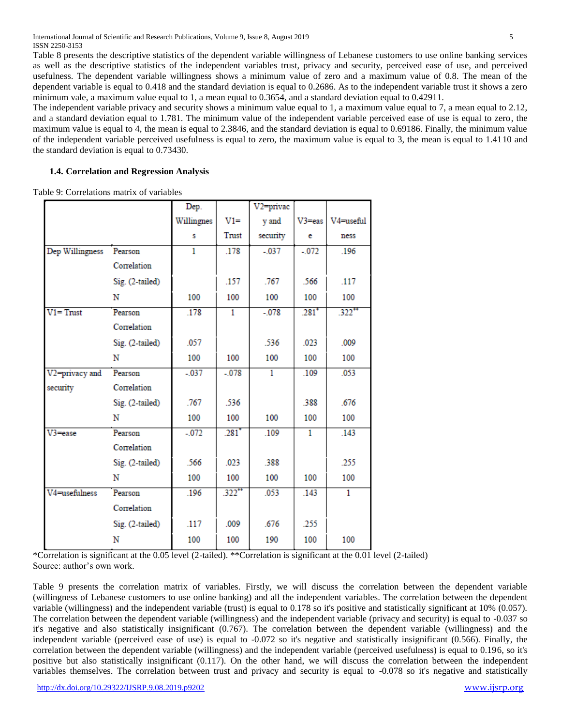International Journal of Scientific and Research Publications, Volume 9, Issue 8, August 2019 5 ISSN 2250-3153

Table 8 presents the descriptive statistics of the dependent variable willingness of Lebanese customers to use online banking services as well as the descriptive statistics of the independent variables trust, privacy and security, perceived ease of use, and perceived usefulness. The dependent variable willingness shows a minimum value of zero and a maximum value of 0.8. The mean of the dependent variable is equal to 0.418 and the standard deviation is equal to 0.2686. As to the independent variable trust it shows a zero minimum vale, a maximum value equal to 1, a mean equal to 0.3654, and a standard deviation equal to 0.42911.

The independent variable privacy and security shows a minimum value equal to 1, a maximum value equal to 7, a mean equal to 2.12, and a standard deviation equal to 1.781. The minimum value of the independent variable perceived ease of use is equal to zero, the maximum value is equal to 4, the mean is equal to 2.3846, and the standard deviation is equal to 0.69186. Finally, the minimum value of the independent variable perceived usefulness is equal to zero, the maximum value is equal to 3, the mean is equal to 1.4110 and the standard deviation is equal to 0.73430.

## **1.4. Correlation and Regression Analysis**

Table 9: Correlations matrix of variables

|                 |                 | Dep.       |                     | V <sub>2</sub> =privac |                     |           |
|-----------------|-----------------|------------|---------------------|------------------------|---------------------|-----------|
|                 |                 | Willingnes | $V1 =$              | y and                  | $V3 = eas$          | V4=useful |
|                 |                 | s          | Trust               | security               | e                   | ness      |
| Dep Willingness | Pearson         | 1          | .178                | $-.037$                | $-.072$             | .196      |
|                 | Correlation     |            |                     |                        |                     |           |
|                 | Sig. (2-tailed) |            | .157                | .767                   | .566                | .117      |
|                 | N               | 100        | 100                 | 100                    | 100                 | 100       |
| $V1 = Trust$    | Pearson         | .178       | 1                   | $-.078$                | $.281$ <sup>*</sup> | $.322$ ** |
|                 | Correlation     |            |                     |                        |                     |           |
|                 | Sig. (2-tailed) | .057       |                     | .536                   | .023                | .009      |
|                 | N               | 100        | 100                 | 100                    | 100                 | 100       |
| V2=privacy and  | Pearson         | $-.037$    | $-.078$             | 1                      | .109                | .053      |
| security        | Correlation     |            |                     |                        |                     |           |
|                 | Sig. (2-tailed) | .767       | .536                |                        | .388                | .676      |
|                 | N               | 100        | 100                 | 100                    | 100                 | 100       |
| $V3 = e$ ase    | Pearson         | $-0.072$   | $.281$ <sup>*</sup> | .109                   | 1                   | .143      |
|                 | Correlation     |            |                     |                        |                     |           |
|                 | Sig. (2-tailed) | .566       | .023                | .388                   |                     | .255      |
|                 | N               | 100        | 100                 | 100                    | 100                 | 100       |
| V4=usefulness   | Pearson         | .196       | $.322$ **           | .053                   | .143                | 1         |
|                 | Correlation     |            |                     |                        |                     |           |
|                 | Sig. (2-tailed) | .117       | .009                | .676                   | .255                |           |
|                 | N               | 100        | 100                 | 190                    | 100                 | 100       |

\*Correlation is significant at the 0.05 level (2-tailed). \*\*Correlation is significant at the 0.01 level (2-tailed) Source: author's own work.

Table 9 presents the correlation matrix of variables. Firstly, we will discuss the correlation between the dependent variable (willingness of Lebanese customers to use online banking) and all the independent variables. The correlation between the dependent variable (willingness) and the independent variable (trust) is equal to 0.178 so it's positive and statistically significant at 10% (0.057). The correlation between the dependent variable (willingness) and the independent variable (privacy and security) is equal to -0.037 so it's negative and also statistically insignificant (0.767). The correlation between the dependent variable (willingness) and the independent variable (perceived ease of use) is equal to -0.072 so it's negative and statistically insignificant (0.566). Finally, the correlation between the dependent variable (willingness) and the independent variable (perceived usefulness) is equal to 0.196, so it's positive but also statistically insignificant (0.117). On the other hand, we will discuss the correlation between the independent variables themselves. The correlation between trust and privacy and security is equal to -0.078 so it's negative and statistically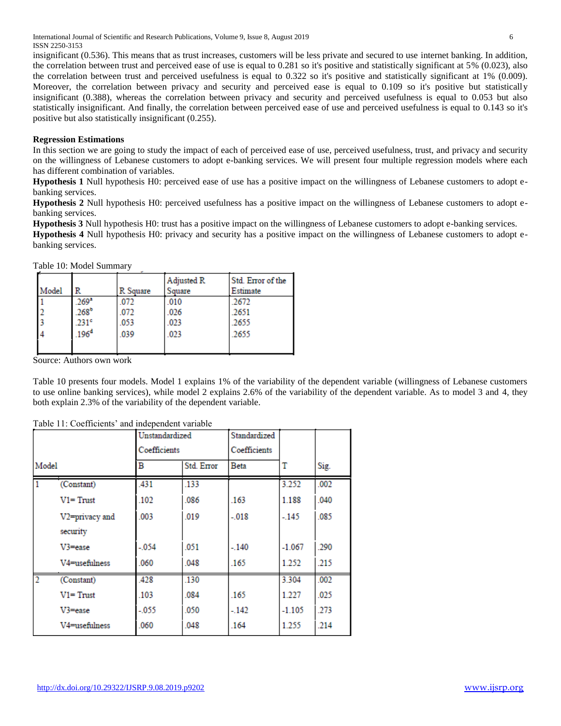International Journal of Scientific and Research Publications, Volume 9, Issue 8, August 2019 6 ISSN 2250-3153

insignificant (0.536). This means that as trust increases, customers will be less private and secured to use internet banking. In addition, the correlation between trust and perceived ease of use is equal to 0.281 so it's positive and statistically significant at 5% (0.023), also the correlation between trust and perceived usefulness is equal to 0.322 so it's positive and statistically significant at 1% (0.009). Moreover, the correlation between privacy and security and perceived ease is equal to 0.109 so it's positive but statistically insignificant (0.388), whereas the correlation between privacy and security and perceived usefulness is equal to 0.053 but also statistically insignificant. And finally, the correlation between perceived ease of use and perceived usefulness is equal to 0.143 so it's positive but also statistically insignificant (0.255).

## **Regression Estimations**

In this section we are going to study the impact of each of perceived ease of use, perceived usefulness, trust, and privacy and security on the willingness of Lebanese customers to adopt e-banking services. We will present four multiple regression models where each has different combination of variables.

**Hypothesis 1** Null hypothesis H0: perceived ease of use has a positive impact on the willingness of Lebanese customers to adopt ebanking services.

**Hypothesis 2** Null hypothesis H0: perceived usefulness has a positive impact on the willingness of Lebanese customers to adopt ebanking services.

**Hypothesis 3** Null hypothesis H0: trust has a positive impact on the willingness of Lebanese customers to adopt e-banking services.

**Hypothesis 4** Null hypothesis H0: privacy and security has a positive impact on the willingness of Lebanese customers to adopt ebanking services.

Table 10: Model Summary

| Model | R                                                         | R Square             | Adjusted R<br>Square | Std. Error of the<br>Estimate |
|-------|-----------------------------------------------------------|----------------------|----------------------|-------------------------------|
|       | 269 <sup>a</sup><br>268 <sup>b</sup><br>.231 <sup>c</sup> | .072<br>.072<br>.053 | .010<br>.026<br>.023 | .2672<br>.2651<br>.2655       |
|       | .196 <sup>d</sup>                                         | .039                 | .023                 | .2655                         |

Source: Authors own work

Table 10 presents four models. Model 1 explains 1% of the variability of the dependent variable (willingness of Lebanese customers to use online banking services), while model 2 explains 2.6% of the variability of the dependent variable. As to model 3 and 4, they both explain 2.3% of the variability of the dependent variable.

|                |                | Unstandardized<br>Coefficients |            | Standardized<br>Coefficients |          |      |
|----------------|----------------|--------------------------------|------------|------------------------------|----------|------|
| Model          |                | в                              | Std. Error | Beta                         | т        | Sig. |
|                | (Constant)     | 431                            | .133       |                              | 3.252    | .002 |
|                | $V1 = Trust$   | 102                            | 086        | .163                         | 1.188    | .040 |
|                | V2=privacy and | 003                            | 019        | $-018$                       | $-145$   | 085  |
|                | security       |                                |            |                              |          |      |
|                | $V3 = e$ ase   | $-0.054$                       | .051       | $-.140$                      | $-1.067$ | .290 |
|                | V4=usefulness  | .060                           | .048       | .165                         | 1.252    | .215 |
| $\mathfrak{p}$ | (Constant)     | 428                            | .130       |                              | 3.304    | .002 |
|                | $V1 = Trust$   | 103                            | 084        | 165                          | 1.227    | 025  |
|                | $V3 = e$ ase   | $-0.055$                       | .050       | $-142$                       | $-1.105$ | .273 |
|                | V4=usefulness  | .060                           | 048        | .164                         | 1.255    | .214 |

Table 11: Coefficients' and independent variable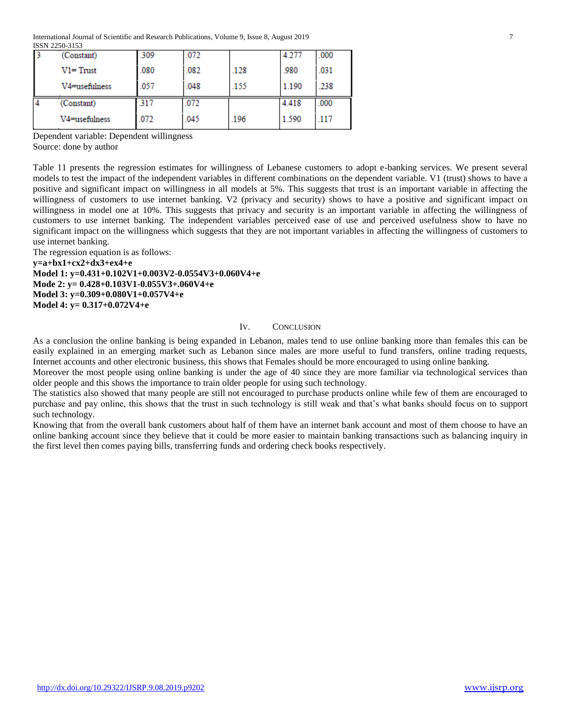| (Constant)    | .309 | .072 |      | 4.277 | .000 |
|---------------|------|------|------|-------|------|
| $V1 = Trust$  | .080 | .082 | .128 | .980  | .031 |
| V4=usefulness | .057 | .048 | .155 | 1.190 | .238 |
| (Constant)    | 317  | .072 |      | 4.418 | .000 |
| V4=usefulness | .072 | .045 | .196 | 1.590 | .117 |

Dependent variable: Dependent willingness Source: done by author

Table 11 presents the regression estimates for willingness of Lebanese customers to adopt e-banking services. We present several models to test the impact of the independent variables in different combinations on the dependent variable. V1 (trust) shows to have a positive and significant impact on willingness in all models at 5%. This suggests that trust is an important variable in affecting the willingness of customers to use internet banking. V2 (privacy and security) shows to have a positive and significant impact on willingness in model one at 10%. This suggests that privacy and security is an important variable in affecting the willingness of customers to use internet banking. The independent variables perceived ease of use and perceived usefulness show to have no significant impact on the willingness which suggests that they are not important variables in affecting the willingness of customers to use internet banking.

The regression equation is as follows:

**y=a+bx1+cx2+dx3+ex4+e Model 1: y=0.431+0.102V1+0.003V2-0.0554V3+0.060V4+e Mode 2: y= 0.428+0.103V1-0.055V3+.060V4+e Model 3: y=0.309+0.080V1+0.057V4+e Model 4: y= 0.317+0.072V4+e**

#### IV. CONCLUSION

As a conclusion the online banking is being expanded in Lebanon, males tend to use online banking more than females this can be easily explained in an emerging market such as Lebanon since males are more useful to fund transfers, online trading requests, Internet accounts and other electronic business, this shows that Females should be more encouraged to using online banking.

Moreover the most people using online banking is under the age of 40 since they are more familiar via technological services than older people and this shows the importance to train older people for using such technology.

The statistics also showed that many people are still not encouraged to purchase products online while few of them are encouraged to purchase and pay online, this shows that the trust in such technology is still weak and that's what banks should focus on to support such technology.

Knowing that from the overall bank customers about half of them have an internet bank account and most of them choose to have an online banking account since they believe that it could be more easier to maintain banking transactions such as balancing inquiry in the first level then comes paying bills, transferring funds and ordering check books respectively.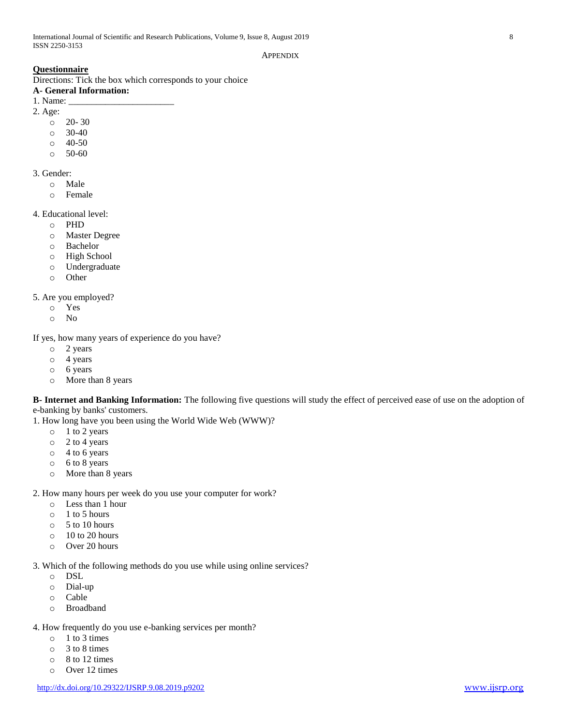#### **APPENDIX**

# **Questionnaire**

Directions: Tick the box which corresponds to your choice

# **A- General Information:**

1. Name: \_\_\_\_\_\_\_\_\_\_\_\_\_\_\_\_\_\_\_\_\_\_\_ 2. Age:

- $0 20 30$
- o 30-40
- $\circ$  40-50
- o 50-60

# 3. Gender:

- o Male
- o Female

# 4. Educational level:

- o PHD
- o Master Degree
- o Bachelor
- o High School
- o Undergraduate
- o Other

# 5. Are you employed?

- o Yes
- o No

If yes, how many years of experience do you have?

- o 2 years
- o 4 years
- o 6 years
- o More than 8 years

**B- Internet and Banking Information:** The following five questions will study the effect of perceived ease of use on the adoption of e-banking by banks' customers.

1. How long have you been using the World Wide Web (WWW)?

- o 1 to 2 years
- o 2 to 4 years
- o 4 to 6 years
- o 6 to 8 years
- o More than 8 years

2. How many hours per week do you use your computer for work?

- o Less than 1 hour
- o 1 to 5 hours
- o 5 to 10 hours
- $\circ$  10 to 20 hours
- o Over 20 hours

3. Which of the following methods do you use while using online services?

- o DSL
- o Dial-up
- o Cable
- o Broadband
- 4. How frequently do you use e-banking services per month?
	- o 1 to 3 times
	- o 3 to 8 times
	- o 8 to 12 times
	- o Over 12 times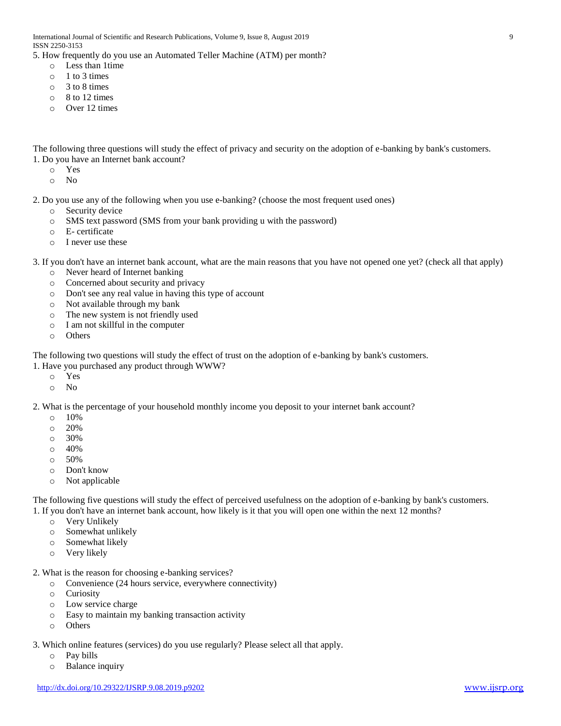5. How frequently do you use an Automated Teller Machine (ATM) per month?

- o Less than 1time
- $\circ$  1 to 3 times
- o 3 to 8 times
- o 8 to 12 times
- o Over 12 times

The following three questions will study the effect of privacy and security on the adoption of e-banking by bank's customers. 1. Do you have an Internet bank account?

- o Yes
- o No

2. Do you use any of the following when you use e-banking? (choose the most frequent used ones)

- o Security device
- o SMS text password (SMS from your bank providing u with the password)
- o E- certificate
- o I never use these

3. If you don't have an internet bank account, what are the main reasons that you have not opened one yet? (check all that apply)

- o Never heard of Internet banking
- o Concerned about security and privacy
- o Don't see any real value in having this type of account
- o Not available through my bank
- o The new system is not friendly used
- o I am not skillful in the computer
- o Others

The following two questions will study the effect of trust on the adoption of e-banking by bank's customers.

- 1. Have you purchased any product through WWW?
	- o Yes
	- o No

2. What is the percentage of your household monthly income you deposit to your internet bank account?

- $\circ$  10%
- o 20%
- o 30%
- $\circ$  40%
- o 50%
- o Don't know
- o Not applicable

The following five questions will study the effect of perceived usefulness on the adoption of e-banking by bank's customers. 1. If you don't have an internet bank account, how likely is it that you will open one within the next 12 months?

- o Very Unlikely
- o Somewhat unlikely
- o Somewhat likely
- o Very likely
- 2. What is the reason for choosing e-banking services?
	- o Convenience (24 hours service, everywhere connectivity)
	- o Curiosity
	- o Low service charge
	- o Easy to maintain my banking transaction activity
	- o Others
- 3. Which online features (services) do you use regularly? Please select all that apply.
	- o Pay bills
	- o Balance inquiry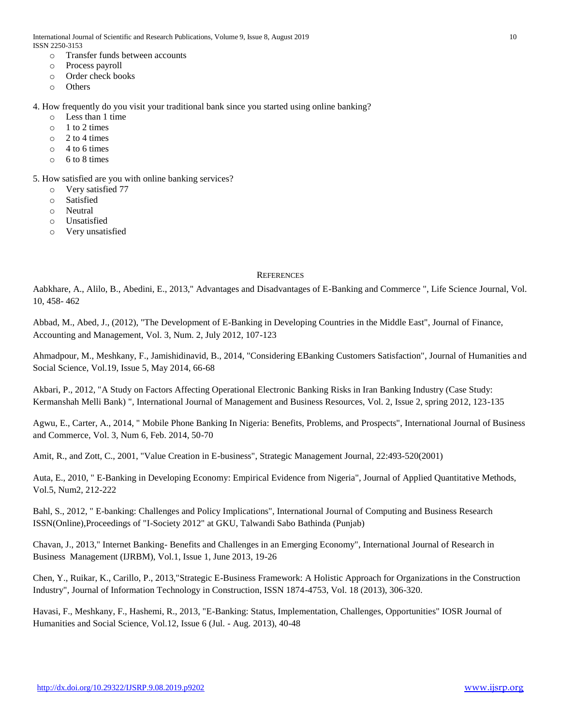- o Transfer funds between accounts
- o Process payroll
- o Order check books
- o Others

#### 4. How frequently do you visit your traditional bank since you started using online banking?

- o Less than 1 time
- o 1 to 2 times
- o 2 to 4 times
- $\circ$  4 to 6 times
- o 6 to 8 times

5. How satisfied are you with online banking services?

- o Very satisfied 77
- o Satisfied
- o Neutral
- o Unsatisfied
- o Very unsatisfied

#### **REFERENCES**

Aabkhare, A., Alilo, B., Abedini, E., 2013," Advantages and Disadvantages of E-Banking and Commerce ", Life Science Journal, Vol. 10, 458- 462

Abbad, M., Abed, J., (2012), "The Development of E-Banking in Developing Countries in the Middle East", Journal of Finance, Accounting and Management, Vol. 3, Num. 2, July 2012, 107-123

Ahmadpour, M., Meshkany, F., Jamishidinavid, B., 2014, "Considering EBanking Customers Satisfaction", Journal of Humanities and Social Science, Vol.19, Issue 5, May 2014, 66-68

Akbari, P., 2012, "A Study on Factors Affecting Operational Electronic Banking Risks in Iran Banking Industry (Case Study: Kermanshah Melli Bank) ", International Journal of Management and Business Resources, Vol. 2, Issue 2, spring 2012, 123-135

Agwu, E., Carter, A., 2014, " Mobile Phone Banking In Nigeria: Benefits, Problems, and Prospects", International Journal of Business and Commerce, Vol. 3, Num 6, Feb. 2014, 50-70

Amit, R., and Zott, C., 2001, "Value Creation in E-business", Strategic Management Journal, 22:493-520(2001)

Auta, E., 2010, " E-Banking in Developing Economy: Empirical Evidence from Nigeria", Journal of Applied Quantitative Methods, Vol.5, Num2, 212-222

Bahl, S., 2012, " E-banking: Challenges and Policy Implications", International Journal of Computing and Business Research ISSN(Online),Proceedings of "I-Society 2012" at GKU, Talwandi Sabo Bathinda (Punjab)

Chavan, J., 2013," Internet Banking- Benefits and Challenges in an Emerging Economy", International Journal of Research in Business Management (IJRBM), Vol.1, Issue 1, June 2013, 19-26

Chen, Y., Ruikar, K., Carillo, P., 2013,"Strategic E-Business Framework: A Holistic Approach for Organizations in the Construction Industry", Journal of Information Technology in Construction, ISSN 1874-4753, Vol. 18 (2013), 306-320.

Havasi, F., Meshkany, F., Hashemi, R., 2013, "E-Banking: Status, Implementation, Challenges, Opportunities" IOSR Journal of Humanities and Social Science, Vol.12, Issue 6 (Jul. - Aug. 2013), 40-48